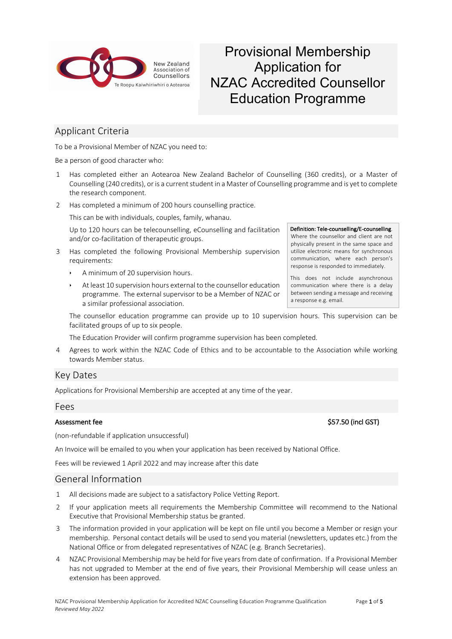

# Provisional Membership Application for NZAC Accredited Counsellor Education Programme

# Applicant Criteria

To be a Provisional Member of NZAC you need to:

Be a person of good character who:

- 1 Has completed either an Aotearoa New Zealand Bachelor of Counselling (360 credits), or a Master of Counselling (240 credits), or is a current student in a Master of Counselling programme and is yet to complete the research component.
- 2 Has completed a minimum of 200 hours counselling practice.

This can be with individuals, couples, family, whanau.

Up to 120 hours can be telecounselling, eCounselling and facilitation and/or co-facilitation of therapeutic groups.

- 3 Has completed the following Provisional Membership supervision requirements:
	- A minimum of 20 supervision hours.
	- $\cdot$  At least 10 supervision hours external to the counsellor education programme. The external supervisor to be a Member of NZAC or a similar professional association.

The counsellor education programme can provide up to 10 supervision hours. This supervision can be facilitated groups of up to six people.

The Education Provider will confirm programme supervision has been completed.

4 Agrees to work within the NZAC Code of Ethics and to be accountable to the Association while working towards Member status.

## Key Dates

Applications for Provisional Membership are accepted at any time of the year.

### Fees

(non-refundable if application unsuccessful)

An Invoice will be emailed to you when your application has been received by National Office.

Fees will be reviewed 1 April 2022 and may increase after this date

### General Information

- 1 All decisions made are subject to a satisfactory Police Vetting Report.
- 2 If your application meets all requirements the Membership Committee will recommend to the National Executive that Provisional Membership status be granted.
- 3 The information provided in your application will be kept on file until you become a Member or resign your membership. Personal contact details will be used to send you material (newsletters, updates etc.) from the National Office or from delegated representatives of NZAC (e.g. Branch Secretaries).
- 4 NZAC Provisional Membership may be held for five years from date of confirmation. If a Provisional Member has not upgraded to Member at the end of five years, their Provisional Membership will cease unless an extension has been approved.

## Definition: Tele-counselling/E-counselling.

Where the counsellor and client are not physically present in the same space and utilize electronic means for synchronous communication, where each person's response is responded to immediately.

This does not include asynchronous communication where there is a delay between sending a message and receiving a response e.g. email.

#### Assessment fee \$57.50 (incl GST)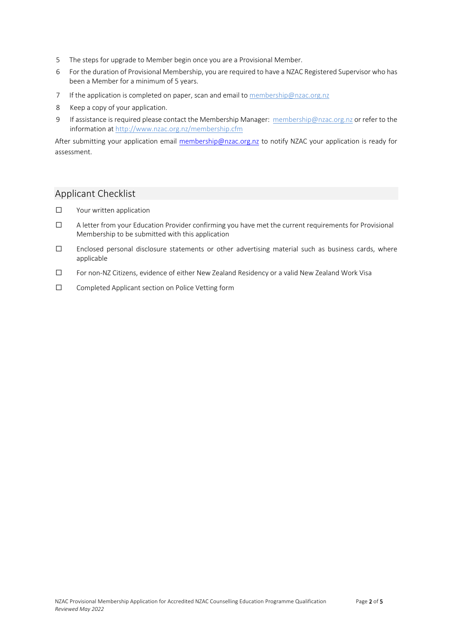- 5 The steps for upgrade to Member begin once you are a Provisional Member.
- 6 For the duration of Provisional Membership, you are required to have a NZAC Registered Supervisor who has been a Member for a minimum of 5 years.
- 7 If the application is completed on paper, scan and email to membership@nzac.org.nz
- 8 Keep a copy of your application.
- 9 If assistance is required please contact the Membership Manager: membership@nzac.org.nz or refer to the information at http://www.nzac.org.nz/membership.cfm

After submitting your application email membership@nzac.org.nz to notify NZAC your application is ready for assessment.

# Applicant Checklist

- ☐ Your written application
- ☐ A letter from your Education Provider confirming you have met the current requirements for Provisional Membership to be submitted with this application
- ☐ Enclosed personal disclosure statements or other advertising material such as business cards, where applicable
- ☐ For non-NZ Citizens, evidence of either New Zealand Residency or a valid New Zealand Work Visa
- ☐ Completed Applicant section on Police Vetting form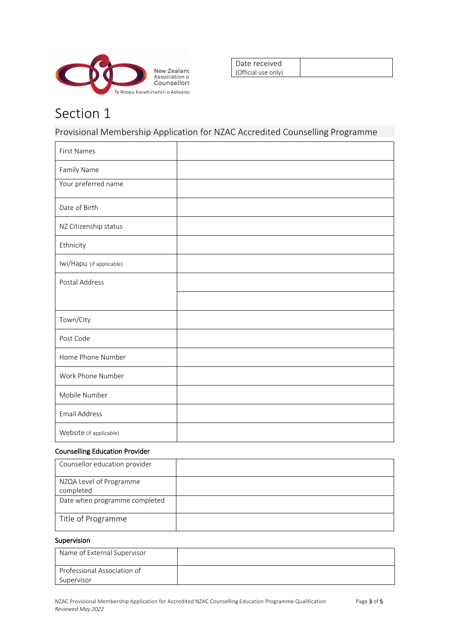

| Date received       |  |
|---------------------|--|
| (Official use only) |  |

# Section 1

Provisional Membership Application for NZAC Accredited Counselling Programme

| <b>First Names</b>       |  |
|--------------------------|--|
| Family Name              |  |
| Your preferred name      |  |
| Date of Birth            |  |
| NZ Citizenship status    |  |
| Ethnicity                |  |
| Iwi/Hapu (if applicable) |  |
| Postal Address           |  |
|                          |  |
| Town/City                |  |
| Post Code                |  |
| Home Phone Number        |  |
| Work Phone Number        |  |
| Mobile Number            |  |
| <b>Email Address</b>     |  |
| Website (if applicable)  |  |

### Counselling Education Provider

| Counsellor education provider        |  |
|--------------------------------------|--|
| NZQA Level of Programme<br>completed |  |
| Date when programme completed        |  |
| Title of Programme                   |  |
|                                      |  |

### Supervision

| Name of External Supervisor |  |
|-----------------------------|--|
| Professional Association of |  |
| Supervisor                  |  |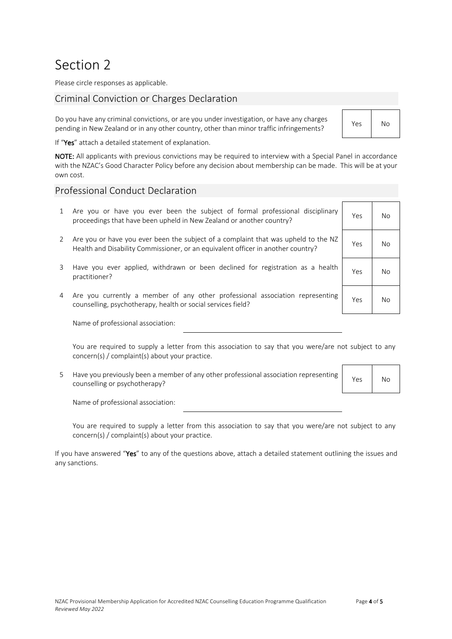# Section 2

Please circle responses as applicable.

# Criminal Conviction or Charges Declaration

Do you have any criminal convictions, or are you under investigation, or have any charges pending in New Zealand or in any other country, other than minor traffic infringements? Yes No

If "Yes" attach a detailed statement of explanation.

NOTE: All applicants with previous convictions may be required to interview with a Special Panel in accordance with the NZAC's Good Character Policy before any decision about membership can be made. This will be at your own cost.

### Professional Conduct Declaration

- 1 Are you or have you ever been the subject of formal professional disciplinary proceedings that have been upheld in New Zealand or another country?
- 2 Are you or have you ever been the subject of a complaint that was upheld to the NZ Health and Disability Commissioner, or an equivalent officer in another country? Yes No
- 3 Have you ever applied, withdrawn or been declined for registration as a health practitioner? Yes No
- 4 Are you currently a member of any other professional association representing External variance of any other professional association representing ves No<br>counselling, psychotherapy, health or social services field?

Name of professional association:

You are required to supply a letter from this association to say that you were/are not subject to any concern(s) / complaint(s) about your practice.

5 Have you previously been a member of any other professional association representing riave you previously been a member of any other professional association representing Yes No

Name of professional association:

You are required to supply a letter from this association to say that you were/are not subject to any concern(s) / complaint(s) about your practice.

If you have answered "Yes" to any of the questions above, attach a detailed statement outlining the issues and any sanctions.